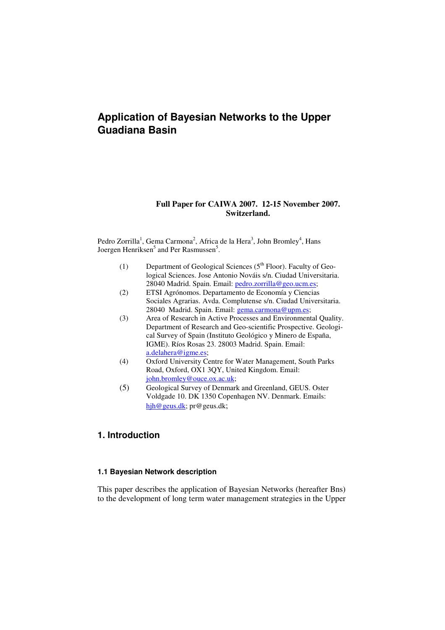# **Application of Bayesian Networks to the Upper Guadiana Basin**

#### **Full Paper for CAIWA 2007. 12-15 November 2007. Switzerland.**

Pedro Zorrilla<sup>1</sup>, Gema Carmona<sup>2</sup>, Africa de la Hera<sup>3</sup>, John Bromley<sup>4</sup>, Hans Joergen Henriksen<sup>5</sup> and Per Rasmussen<sup>5</sup>.

- (1) Department of Geological Sciences ( $5<sup>th</sup>$  Floor). Faculty of Geological Sciences. Jose Antonio Nováis s/n. Ciudad Universitaria. 28040 Madrid. Spain. Email: pedro.zorrilla@geo.ucm.es;
- (2) ETSI Agrónomos. Departamento de Economía y Ciencias Sociales Agrarias. Avda. Complutense s/n. Ciudad Universitaria. 28040 Madrid. Spain. Email: gema.carmona@upm.es;
- (3) Area of Research in Active Processes and Environmental Quality. Department of Research and Geo-scientific Prospective. Geological Survey of Spain (Instituto Geológico y Minero de España, IGME). Ríos Rosas 23. 28003 Madrid. Spain. Email: a.delahera@igme.es;
- (4) Oxford University Centre for Water Management, South Parks Road, Oxford, OX1 3QY, United Kingdom. Email: john.bromley@ouce.ox.ac.uk;
- (5) Geological Survey of Denmark and Greenland, GEUS. Oster Voldgade 10. DK 1350 Copenhagen NV. Denmark. Emails: hjh@geus.dk; pr@geus.dk;

# **1. Introduction**

#### **1.1 Bayesian Network description**

This paper describes the application of Bayesian Networks (hereafter Bns) to the development of long term water management strategies in the Upper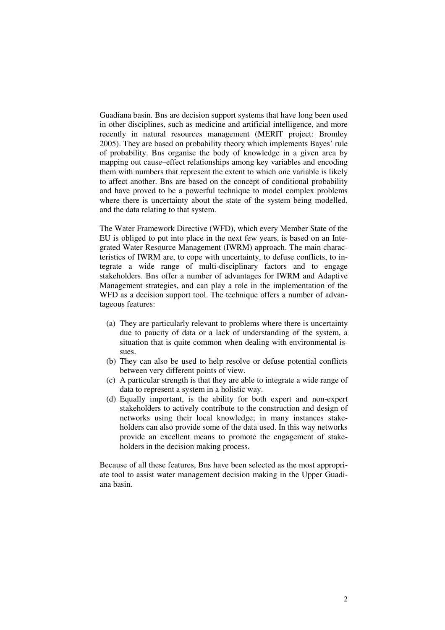Guadiana basin. Bns are decision support systems that have long been used in other disciplines, such as medicine and artificial intelligence, and more recently in natural resources management (MERIT project: Bromley 2005). They are based on probability theory which implements Bayes' rule of probability. Bns organise the body of knowledge in a given area by mapping out cause–effect relationships among key variables and encoding them with numbers that represent the extent to which one variable is likely to affect another. Bns are based on the concept of conditional probability and have proved to be a powerful technique to model complex problems where there is uncertainty about the state of the system being modelled, and the data relating to that system.

The Water Framework Directive (WFD), which every Member State of the EU is obliged to put into place in the next few years, is based on an Integrated Water Resource Management (IWRM) approach. The main characteristics of IWRM are, to cope with uncertainty, to defuse conflicts, to integrate a wide range of multi-disciplinary factors and to engage stakeholders. Bns offer a number of advantages for IWRM and Adaptive Management strategies, and can play a role in the implementation of the WFD as a decision support tool. The technique offers a number of advantageous features:

- (a) They are particularly relevant to problems where there is uncertainty due to paucity of data or a lack of understanding of the system, a situation that is quite common when dealing with environmental issues.
- (b) They can also be used to help resolve or defuse potential conflicts between very different points of view.
- (c) A particular strength is that they are able to integrate a wide range of data to represent a system in a holistic way.
- (d) Equally important, is the ability for both expert and non-expert stakeholders to actively contribute to the construction and design of networks using their local knowledge; in many instances stakeholders can also provide some of the data used. In this way networks provide an excellent means to promote the engagement of stakeholders in the decision making process.

Because of all these features, Bns have been selected as the most appropriate tool to assist water management decision making in the Upper Guadiana basin.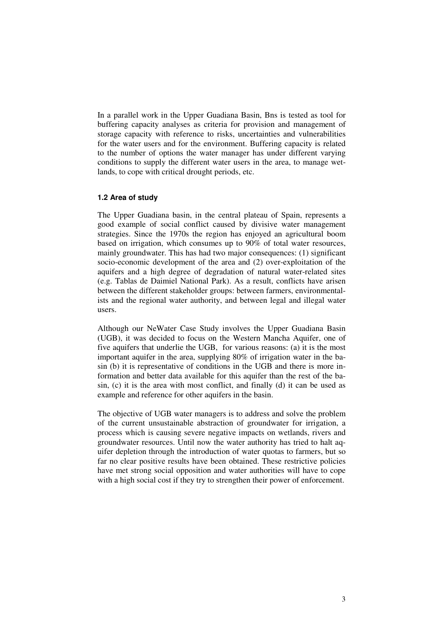In a parallel work in the Upper Guadiana Basin, Bns is tested as tool for buffering capacity analyses as criteria for provision and management of storage capacity with reference to risks, uncertainties and vulnerabilities for the water users and for the environment. Buffering capacity is related to the number of options the water manager has under different varying conditions to supply the different water users in the area, to manage wetlands, to cope with critical drought periods, etc.

#### **1.2 Area of study**

The Upper Guadiana basin, in the central plateau of Spain, represents a good example of social conflict caused by divisive water management strategies. Since the 1970s the region has enjoyed an agricultural boom based on irrigation, which consumes up to 90% of total water resources, mainly groundwater. This has had two major consequences: (1) significant socio-economic development of the area and (2) over-exploitation of the aquifers and a high degree of degradation of natural water-related sites (e.g. Tablas de Daimiel National Park). As a result, conflicts have arisen between the different stakeholder groups: between farmers, environmentalists and the regional water authority, and between legal and illegal water users.

Although our NeWater Case Study involves the Upper Guadiana Basin (UGB), it was decided to focus on the Western Mancha Aquifer, one of five aquifers that underlie the UGB, for various reasons: (a) it is the most important aquifer in the area, supplying 80% of irrigation water in the basin (b) it is representative of conditions in the UGB and there is more information and better data available for this aquifer than the rest of the basin, (c) it is the area with most conflict, and finally (d) it can be used as example and reference for other aquifers in the basin.

The objective of UGB water managers is to address and solve the problem of the current unsustainable abstraction of groundwater for irrigation, a process which is causing severe negative impacts on wetlands, rivers and groundwater resources. Until now the water authority has tried to halt aquifer depletion through the introduction of water quotas to farmers, but so far no clear positive results have been obtained. These restrictive policies have met strong social opposition and water authorities will have to cope with a high social cost if they try to strengthen their power of enforcement.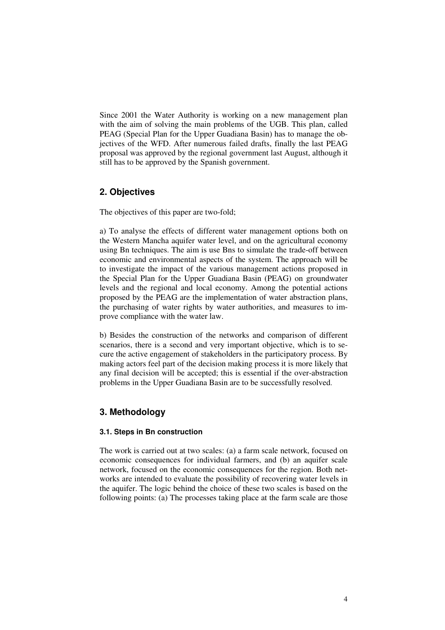Since 2001 the Water Authority is working on a new management plan with the aim of solving the main problems of the UGB. This plan, called PEAG (Special Plan for the Upper Guadiana Basin) has to manage the objectives of the WFD. After numerous failed drafts, finally the last PEAG proposal was approved by the regional government last August, although it still has to be approved by the Spanish government.

### **2. Objectives**

The objectives of this paper are two-fold;

a) To analyse the effects of different water management options both on the Western Mancha aquifer water level, and on the agricultural economy using Bn techniques. The aim is use Bns to simulate the trade-off between economic and environmental aspects of the system. The approach will be to investigate the impact of the various management actions proposed in the Special Plan for the Upper Guadiana Basin (PEAG) on groundwater levels and the regional and local economy. Among the potential actions proposed by the PEAG are the implementation of water abstraction plans, the purchasing of water rights by water authorities, and measures to improve compliance with the water law.

b) Besides the construction of the networks and comparison of different scenarios, there is a second and very important objective, which is to secure the active engagement of stakeholders in the participatory process. By making actors feel part of the decision making process it is more likely that any final decision will be accepted; this is essential if the over-abstraction problems in the Upper Guadiana Basin are to be successfully resolved.

### **3. Methodology**

#### **3.1. Steps in Bn construction**

The work is carried out at two scales: (a) a farm scale network, focused on economic consequences for individual farmers, and (b) an aquifer scale network, focused on the economic consequences for the region. Both networks are intended to evaluate the possibility of recovering water levels in the aquifer. The logic behind the choice of these two scales is based on the following points: (a) The processes taking place at the farm scale are those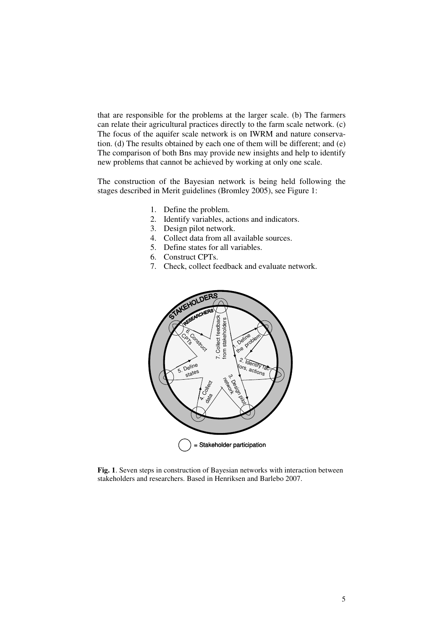that are responsible for the problems at the larger scale. (b) The farmers can relate their agricultural practices directly to the farm scale network. (c) The focus of the aquifer scale network is on IWRM and nature conservation. (d) The results obtained by each one of them will be different; and (e) The comparison of both Bns may provide new insights and help to identify new problems that cannot be achieved by working at only one scale.

The construction of the Bayesian network is being held following the stages described in Merit guidelines (Bromley 2005), see Figure 1:

- 1. Define the problem.
- 2. Identify variables, actions and indicators.
- 3. Design pilot network.
- 4. Collect data from all available sources.
- 5. Define states for all variables.
- 6. Construct CPTs.
- 7. Check, collect feedback and evaluate network.



**Fig. 1**. Seven steps in construction of Bayesian networks with interaction between stakeholders and researchers. Based in Henriksen and Barlebo 2007.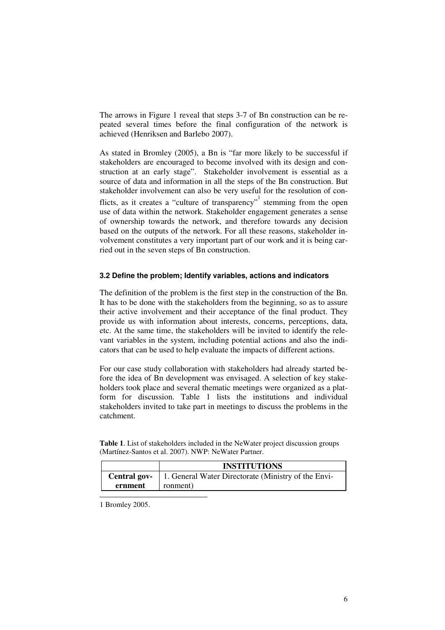The arrows in Figure 1 reveal that steps 3-7 of Bn construction can be repeated several times before the final configuration of the network is achieved (Henriksen and Barlebo 2007).

As stated in Bromley (2005), a Bn is "far more likely to be successful if stakeholders are encouraged to become involved with its design and construction at an early stage". Stakeholder involvement is essential as a source of data and information in all the steps of the Bn construction. But stakeholder involvement can also be very useful for the resolution of conflicts, as it creates a "culture of transparency" stemming from the open use of data within the network. Stakeholder engagement generates a sense of ownership towards the network, and therefore towards any decision based on the outputs of the network. For all these reasons, stakeholder involvement constitutes a very important part of our work and it is being carried out in the seven steps of Bn construction.

#### **3.2 Define the problem; Identify variables, actions and indicators**

The definition of the problem is the first step in the construction of the Bn. It has to be done with the stakeholders from the beginning, so as to assure their active involvement and their acceptance of the final product. They provide us with information about interests, concerns, perceptions, data, etc. At the same time, the stakeholders will be invited to identify the relevant variables in the system, including potential actions and also the indicators that can be used to help evaluate the impacts of different actions.

For our case study collaboration with stakeholders had already started before the idea of Bn development was envisaged. A selection of key stakeholders took place and several thematic meetings were organized as a platform for discussion. Table 1 lists the institutions and individual stakeholders invited to take part in meetings to discuss the problems in the catchment.

**Table 1**. List of stakeholders included in the NeWater project discussion groups (Martínez-Santos et al. 2007). NWP: NeWater Partner.

|         | <b>INSTITUTIONS</b>                                                     |  |
|---------|-------------------------------------------------------------------------|--|
|         | <b>Central gov-</b> 1. General Water Directorate (Ministry of the Envi- |  |
| ernment | ronment)                                                                |  |

1 Bromley 2005.

 $\overline{a}$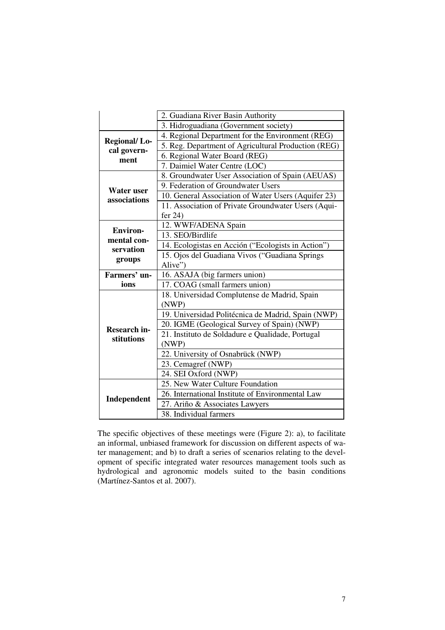|                                        | 2. Guadiana River Basin Authority                   |
|----------------------------------------|-----------------------------------------------------|
|                                        | 3. Hidroguadiana (Government society)               |
|                                        | 4. Regional Department for the Environment (REG)    |
| <b>Regional/Lo-</b><br>cal govern-     | 5. Reg. Department of Agricultural Production (REG) |
| ment                                   | 6. Regional Water Board (REG)                       |
|                                        | 7. Daimiel Water Centre (LOC)                       |
|                                        | 8. Groundwater User Association of Spain (AEUAS)    |
| <b>Water user</b>                      | 9. Federation of Groundwater Users                  |
| associations                           | 10. General Association of Water Users (Aquifer 23) |
|                                        | 11. Association of Private Groundwater Users (Aqui- |
|                                        | fer $24)$                                           |
| <b>Environ-</b>                        | 12. WWF/ADENA Spain                                 |
| mental con-                            | 13. SEO/Birdlife                                    |
| servation                              | 14. Ecologistas en Acción ("Ecologists in Action")  |
| groups                                 | 15. Ojos del Guadiana Vivos ("Guadiana Springs      |
|                                        | Alive")                                             |
| Farmers' un-                           | 16. ASAJA (big farmers union)                       |
| ions<br>17. COAG (small farmers union) |                                                     |
|                                        | 18. Universidad Complutense de Madrid, Spain        |
|                                        | (NWP)                                               |
|                                        | 19. Universidad Politécnica de Madrid, Spain (NWP)  |
| <b>Research in-</b>                    | 20. IGME (Geological Survey of Spain) (NWP)         |
| stitutions                             | 21. Instituto de Soldadure e Qualidade, Portugal    |
|                                        | (NWP)                                               |
|                                        | 22. University of Osnabrück (NWP)                   |
|                                        | 23. Cemagref (NWP)                                  |
|                                        | 24. SEI Oxford (NWP)                                |
|                                        | 25. New Water Culture Foundation                    |
| Independent                            | 26. International Institute of Environmental Law    |
|                                        | 27. Ariño & Associates Lawyers                      |
|                                        | 38. Individual farmers                              |

The specific objectives of these meetings were (Figure 2): a), to facilitate an informal, unbiased framework for discussion on different aspects of water management; and b) to draft a series of scenarios relating to the development of specific integrated water resources management tools such as hydrological and agronomic models suited to the basin conditions (Martínez-Santos et al. 2007).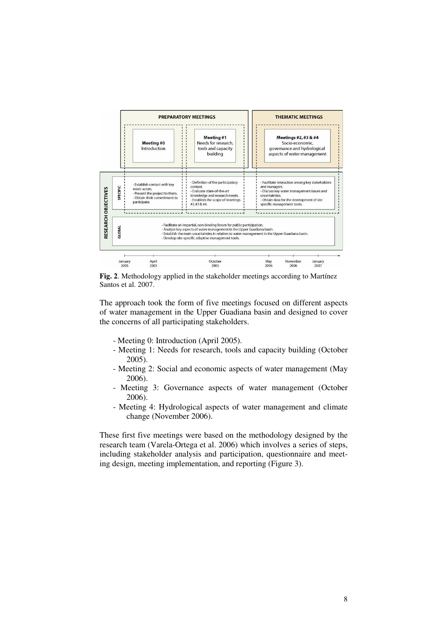

**Fig. 2**. Methodology applied in the stakeholder meetings according to Martínez Santos et al. 2007.

The approach took the form of five meetings focused on different aspects of water management in the Upper Guadiana basin and designed to cover the concerns of all participating stakeholders.

- Meeting 0: Introduction (April 2005).
- Meeting 1: Needs for research, tools and capacity building (October 2005).
- Meeting 2: Social and economic aspects of water management (May 2006).
- Meeting 3: Governance aspects of water management (October 2006).
- Meeting 4: Hydrological aspects of water management and climate change (November 2006).

These first five meetings were based on the methodology designed by the research team (Varela-Ortega et al. 2006) which involves a series of steps, including stakeholder analysis and participation, questionnaire and meeting design, meeting implementation, and reporting (Figure 3).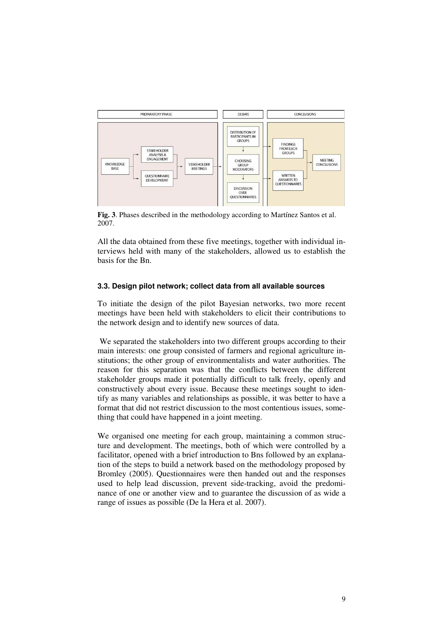

**Fig. 3**. Phases described in the methodology according to Martínez Santos et al. 2007.

All the data obtained from these five meetings, together with individual interviews held with many of the stakeholders, allowed us to establish the basis for the Bn.

#### **3.3. Design pilot network; collect data from all available sources**

To initiate the design of the pilot Bayesian networks, two more recent meetings have been held with stakeholders to elicit their contributions to the network design and to identify new sources of data.

We separated the stakeholders into two different groups according to their main interests: one group consisted of farmers and regional agriculture institutions; the other group of environmentalists and water authorities. The reason for this separation was that the conflicts between the different stakeholder groups made it potentially difficult to talk freely, openly and constructively about every issue. Because these meetings sought to identify as many variables and relationships as possible, it was better to have a format that did not restrict discussion to the most contentious issues, something that could have happened in a joint meeting.

We organised one meeting for each group, maintaining a common structure and development. The meetings, both of which were controlled by a facilitator, opened with a brief introduction to Bns followed by an explanation of the steps to build a network based on the methodology proposed by Bromley (2005). Questionnaires were then handed out and the responses used to help lead discussion, prevent side-tracking, avoid the predominance of one or another view and to guarantee the discussion of as wide a range of issues as possible (De la Hera et al. 2007).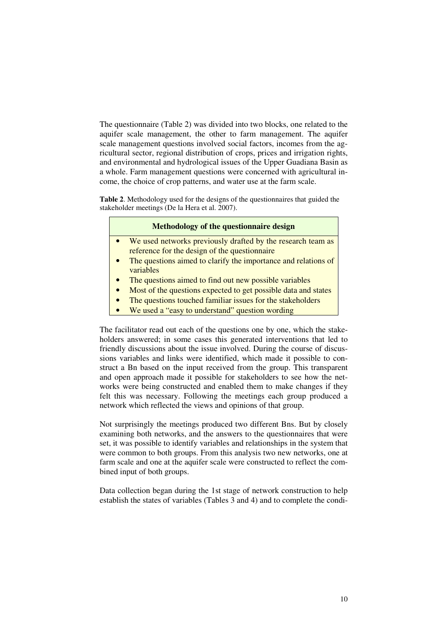The questionnaire (Table 2) was divided into two blocks, one related to the aquifer scale management, the other to farm management. The aquifer scale management questions involved social factors, incomes from the agricultural sector, regional distribution of crops, prices and irrigation rights, and environmental and hydrological issues of the Upper Guadiana Basin as a whole. Farm management questions were concerned with agricultural income, the choice of crop patterns, and water use at the farm scale.

**Table 2**. Methodology used for the designs of the questionnaires that guided the stakeholder meetings (De la Hera et al. 2007).

#### **Methodology of the questionnaire design**

- We used networks previously drafted by the research team as reference for the design of the questionnaire
- The questions aimed to clarify the importance and relations of variables
- The questions aimed to find out new possible variables
- Most of the questions expected to get possible data and states
- The questions touched familiar issues for the stakeholders
- We used a "easy to understand" question wording

The facilitator read out each of the questions one by one, which the stakeholders answered; in some cases this generated interventions that led to friendly discussions about the issue involved. During the course of discussions variables and links were identified, which made it possible to construct a Bn based on the input received from the group. This transparent and open approach made it possible for stakeholders to see how the networks were being constructed and enabled them to make changes if they felt this was necessary. Following the meetings each group produced a network which reflected the views and opinions of that group.

Not surprisingly the meetings produced two different Bns. But by closely examining both networks, and the answers to the questionnaires that were set, it was possible to identify variables and relationships in the system that were common to both groups. From this analysis two new networks, one at farm scale and one at the aquifer scale were constructed to reflect the combined input of both groups.

Data collection began during the 1st stage of network construction to help establish the states of variables (Tables 3 and 4) and to complete the condi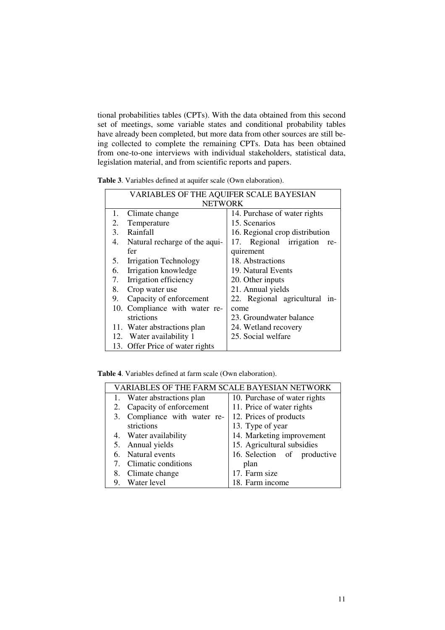tional probabilities tables (CPTs). With the data obtained from this second set of meetings, some variable states and conditional probability tables have already been completed, but more data from other sources are still being collected to complete the remaining CPTs. Data has been obtained from one-to-one interviews with individual stakeholders, statistical data, legislation material, and from scientific reports and papers.

**Table 3**. Variables defined at aquifer scale (Own elaboration).

| VARIABLES OF THE AQUIFER SCALE BAYESIAN |                                 |                                    |  |  |
|-----------------------------------------|---------------------------------|------------------------------------|--|--|
| <b>NETWORK</b>                          |                                 |                                    |  |  |
| 1.                                      | Climate change                  | 14. Purchase of water rights       |  |  |
| 2.                                      | Temperature                     | 15. Scenarios                      |  |  |
| $3_{-}$                                 | Rainfall                        | 16. Regional crop distribution     |  |  |
| 4.                                      | Natural recharge of the aqui-   | 17. Regional irrigation<br>re-     |  |  |
|                                         | fer                             | quirement                          |  |  |
| 5.                                      | <b>Irrigation Technology</b>    | 18. Abstractions                   |  |  |
| 6.                                      | Irrigation knowledge            | 19. Natural Events                 |  |  |
| 7.                                      | Irrigation efficiency           | 20. Other inputs                   |  |  |
| 8.                                      | Crop water use                  | 21. Annual yields                  |  |  |
| 9.                                      | Capacity of enforcement         | 22. Regional agricultural<br>$1n-$ |  |  |
|                                         | 10. Compliance with water re-   | come                               |  |  |
|                                         | strictions                      | 23. Groundwater balance            |  |  |
|                                         | 11. Water abstractions plan     | 24. Wetland recovery               |  |  |
|                                         | 12. Water availability 1        | 25. Social welfare                 |  |  |
|                                         | 13. Offer Price of water rights |                                    |  |  |

**Table 4**. Variables defined at farm scale (Own elaboration).

| VARIABLES OF THE FARM SCALE BAYESIAN NETWORK |                              |                              |  |
|----------------------------------------------|------------------------------|------------------------------|--|
|                                              | 1. Water abstractions plan   | 10. Purchase of water rights |  |
|                                              | 2. Capacity of enforcement   | 11. Price of water rights    |  |
|                                              | 3. Compliance with water re- | 12. Prices of products       |  |
|                                              | strictions                   | 13. Type of year             |  |
|                                              | 4. Water availability        | 14. Marketing improvement    |  |
|                                              | 5. Annual yields             | 15. Agricultural subsidies   |  |
|                                              | 6. Natural events            | 16. Selection of productive  |  |
|                                              | 7. Climatic conditions       | plan                         |  |
|                                              | 8. Climate change            | 17. Farm size                |  |
|                                              | 9. Water level               | 18. Farm income              |  |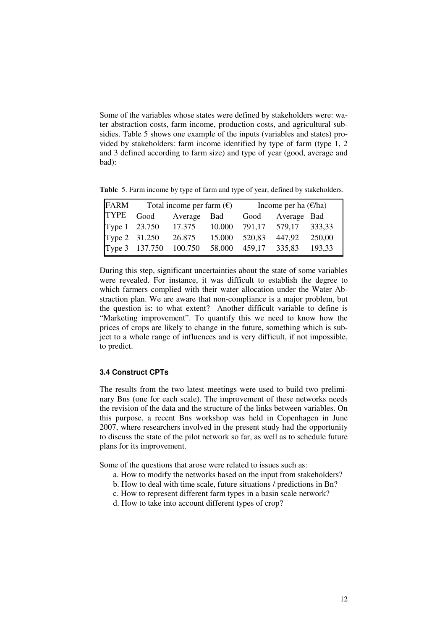Some of the variables whose states were defined by stakeholders were: water abstraction costs, farm income, production costs, and agricultural subsidies. Table 5 shows one example of the inputs (variables and states) provided by stakeholders: farm income identified by type of farm (type 1, 2 and 3 defined according to farm size) and type of year (good, average and bad):

**Table** 5. Farm income by type of farm and type of year, defined by stakeholders.

|             | FARM Total income per farm $(\epsilon)$ |                                                  |  | Income per ha $(\epsilon/\text{ha})$ |                  |        |
|-------------|-----------------------------------------|--------------------------------------------------|--|--------------------------------------|------------------|--------|
| <b>TYPE</b> | Good                                    | Average Bad                                      |  |                                      | Good Average Bad |        |
|             |                                         | Type 1 23.750 17.375 10.000 791,17 579,17 333,33 |  |                                      |                  |        |
|             |                                         | Type 2 31.250 26.875 15.000 520,83               |  |                                      | 447,92           | 250,00 |
|             |                                         | Type 3 137.750 100.750 58.000 459,17 335,83      |  |                                      |                  | 193,33 |

During this step, significant uncertainties about the state of some variables were revealed. For instance, it was difficult to establish the degree to which farmers complied with their water allocation under the Water Abstraction plan. We are aware that non-compliance is a major problem, but the question is: to what extent? Another difficult variable to define is "Marketing improvement". To quantify this we need to know how the prices of crops are likely to change in the future, something which is subject to a whole range of influences and is very difficult, if not impossible, to predict.

#### **3.4 Construct CPTs**

The results from the two latest meetings were used to build two preliminary Bns (one for each scale). The improvement of these networks needs the revision of the data and the structure of the links between variables. On this purpose, a recent Bns workshop was held in Copenhagen in June 2007, where researchers involved in the present study had the opportunity to discuss the state of the pilot network so far, as well as to schedule future plans for its improvement.

Some of the questions that arose were related to issues such as:

- a. How to modify the networks based on the input from stakeholders?
- b. How to deal with time scale, future situations / predictions in Bn?
- c. How to represent different farm types in a basin scale network?
- d. How to take into account different types of crop?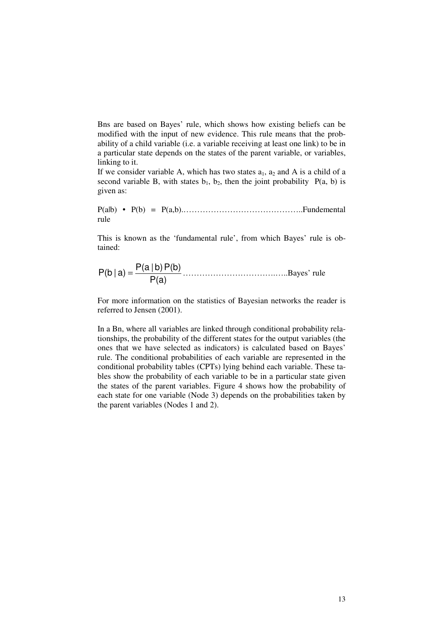Bns are based on Bayes' rule, which shows how existing beliefs can be modified with the input of new evidence. This rule means that the probability of a child variable (i.e. a variable receiving at least one link) to be in a particular state depends on the states of the parent variable, or variables, linking to it.

If we consider variable A, which has two states  $a_1$ ,  $a_2$  and A is a child of a second variable B, with states  $b_1$ ,  $b_2$ , then the joint probability P(a, b) is given as:

P(a|b) • P(b) = P(a,b).……………………………………..Fundemental rule

This is known as the 'fundamental rule', from which Bayes' rule is obtained:

P(a) P(a b)| P(b) P(b <sup>|</sup> a) <sup>=</sup> …………………………….…..Bayes' rule

For more information on the statistics of Bayesian networks the reader is referred to Jensen (2001).

In a Bn, where all variables are linked through conditional probability relationships, the probability of the different states for the output variables (the ones that we have selected as indicators) is calculated based on Bayes' rule. The conditional probabilities of each variable are represented in the conditional probability tables (CPTs) lying behind each variable. These tables show the probability of each variable to be in a particular state given the states of the parent variables. Figure 4 shows how the probability of each state for one variable (Node 3) depends on the probabilities taken by the parent variables (Nodes 1 and 2).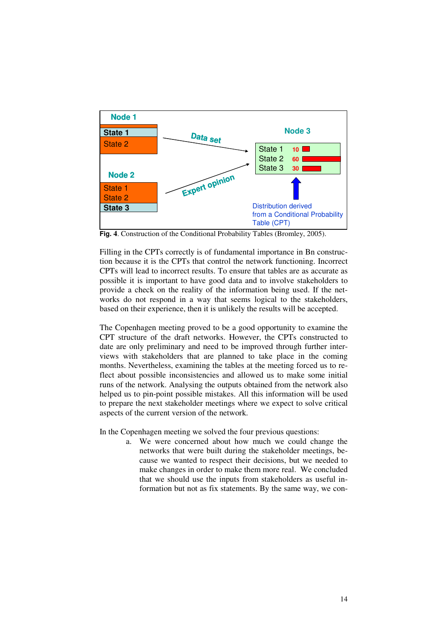

**Fig. 4**. Construction of the Conditional Probability Tables (Bromley, 2005).

Filling in the CPTs correctly is of fundamental importance in Bn construction because it is the CPTs that control the network functioning. Incorrect CPTs will lead to incorrect results. To ensure that tables are as accurate as possible it is important to have good data and to involve stakeholders to provide a check on the reality of the information being used. If the networks do not respond in a way that seems logical to the stakeholders, based on their experience, then it is unlikely the results will be accepted.

The Copenhagen meeting proved to be a good opportunity to examine the CPT structure of the draft networks. However, the CPTs constructed to date are only preliminary and need to be improved through further interviews with stakeholders that are planned to take place in the coming months. Nevertheless, examining the tables at the meeting forced us to reflect about possible inconsistencies and allowed us to make some initial runs of the network. Analysing the outputs obtained from the network also helped us to pin-point possible mistakes. All this information will be used to prepare the next stakeholder meetings where we expect to solve critical aspects of the current version of the network.

In the Copenhagen meeting we solved the four previous questions:

a. We were concerned about how much we could change the networks that were built during the stakeholder meetings, because we wanted to respect their decisions, but we needed to make changes in order to make them more real. We concluded that we should use the inputs from stakeholders as useful information but not as fix statements. By the same way, we con-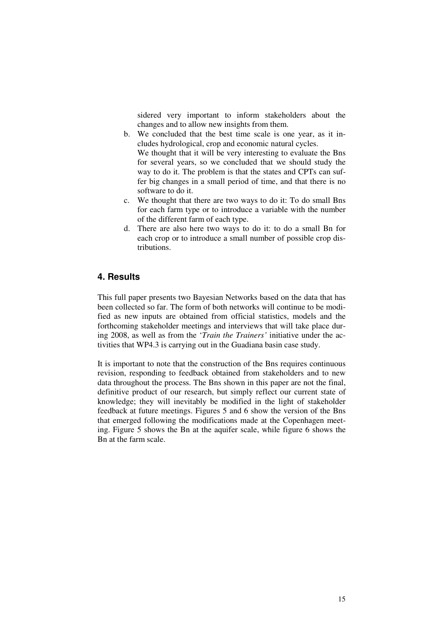sidered very important to inform stakeholders about the changes and to allow new insights from them.

- b. We concluded that the best time scale is one year, as it includes hydrological, crop and economic natural cycles. We thought that it will be very interesting to evaluate the Bns for several years, so we concluded that we should study the way to do it. The problem is that the states and CPTs can suffer big changes in a small period of time, and that there is no software to do it.
- c. We thought that there are two ways to do it: To do small Bns for each farm type or to introduce a variable with the number of the different farm of each type.
- d. There are also here two ways to do it: to do a small Bn for each crop or to introduce a small number of possible crop distributions.

### **4. Results**

This full paper presents two Bayesian Networks based on the data that has been collected so far. The form of both networks will continue to be modified as new inputs are obtained from official statistics, models and the forthcoming stakeholder meetings and interviews that will take place during 2008, as well as from the '*Train the Trainers'* initiative under the activities that WP4.3 is carrying out in the Guadiana basin case study.

It is important to note that the construction of the Bns requires continuous revision, responding to feedback obtained from stakeholders and to new data throughout the process. The Bns shown in this paper are not the final, definitive product of our research, but simply reflect our current state of knowledge; they will inevitably be modified in the light of stakeholder feedback at future meetings. Figures 5 and 6 show the version of the Bns that emerged following the modifications made at the Copenhagen meeting. Figure 5 shows the Bn at the aquifer scale, while figure 6 shows the Bn at the farm scale.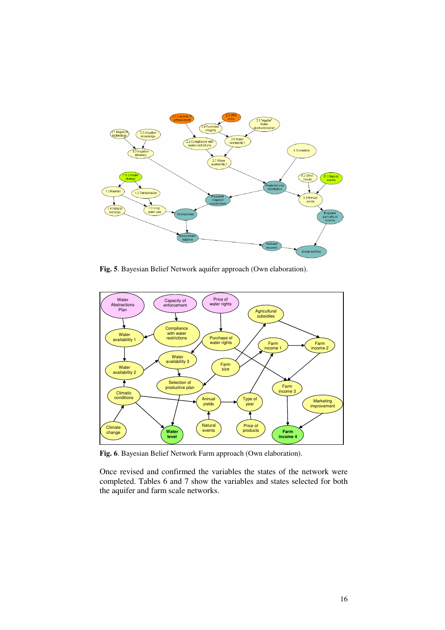

**Fig. 5**. Bayesian Belief Network aquifer approach (Own elaboration).



**Fig. 6**. Bayesian Belief Network Farm approach (Own elaboration).

Once revised and confirmed the variables the states of the network were completed. Tables 6 and 7 show the variables and states selected for both the aquifer and farm scale networks.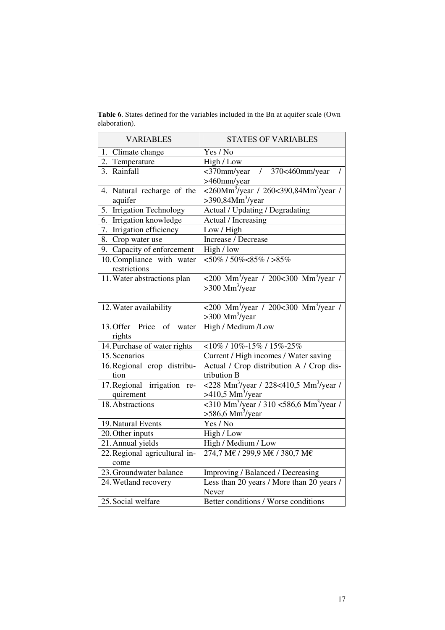| <b>VARIABLES</b>               | <b>STATES OF VARIABLES</b>                                                                                |
|--------------------------------|-----------------------------------------------------------------------------------------------------------|
| 1. Climate change              | Yes / No                                                                                                  |
| Temperature<br>2.              | High / Low                                                                                                |
| Rainfall<br>3.                 | $/370<460$ mm/year<br><370mm/year                                                                         |
|                                | >460mm/year                                                                                               |
| 4. Natural recharge of the     | $\sqrt{260Mm^3/year / 260}$ <260 $\sqrt{390,84Mm^3/year / 1}$                                             |
| aquifer                        | $>$ 390,84Mm <sup>3</sup> /year                                                                           |
| 5. Irrigation Technology       | Actual / Updating / Degradating                                                                           |
| 6. Irrigation knowledge        | Actual / Increasing                                                                                       |
| 7. Irrigation efficiency       | Low / High                                                                                                |
| 8. Crop water use              | Increase / Decrease                                                                                       |
| 9. Capacity of enforcement     | High / low                                                                                                |
| 10. Compliance with water      | $<$ 50% / 50% $<$ 85% / >85%                                                                              |
| restrictions                   |                                                                                                           |
| 11. Water abstractions plan    | $\langle 200 \text{ Mm}^3/\text{year} / 200 \langle 300 \text{ Mm}^3/\text{year} / 100 \rangle$           |
|                                | $>300$ Mm <sup>3</sup> /year                                                                              |
|                                |                                                                                                           |
| 12. Water availability         | $\langle 200 \overline{\text{ Mm}^3/\text{year}} / 200 \langle 300 \overline{\text{ Mm}^3/\text{year}} /$ |
|                                | $>300$ Mm <sup>3</sup> /year                                                                              |
| 13. Offer Price<br>of<br>water | High / Medium /Low                                                                                        |
| rights                         |                                                                                                           |
| 14. Purchase of water rights   | <10% / 10%-15% / 15%-25%                                                                                  |
| 15. Scenarios                  | Current / High incomes / Water saving                                                                     |
| 16. Regional crop distribu-    | Actual / Crop distribution A / Crop dis-                                                                  |
| tion                           | tribution B                                                                                               |
| 17. Regional irrigation<br>re- | <228 Mm <sup>3</sup> /year / 228<410,5 Mm <sup>3</sup> /year /                                            |
| quirement                      | $>410,5$ Mm <sup>3</sup> /year                                                                            |
| 18. Abstractions               | $\langle 310 \text{ Mm}^3/\text{year} / 310 \langle 586, 6 \text{ Mm}^3/\text{year} / 310 \rangle$        |
|                                | $>586.6$ Mm <sup>3</sup> /year                                                                            |
| 19. Natural Events             | Yes / No                                                                                                  |
| 20. Other inputs               | High / Low                                                                                                |
| 21. Annual yields              | High / Medium / Low                                                                                       |
| 22. Regional agricultural in-  | 274,7 M€ / 299,9 M€ / 380,7 M€                                                                            |
| come                           |                                                                                                           |
| 23. Groundwater balance        | Improving / Balanced / Decreasing                                                                         |
| 24. Wetland recovery           | Less than 20 years / More than 20 years /                                                                 |
|                                | Never                                                                                                     |
| 25. Social welfare             | Better conditions / Worse conditions                                                                      |

**Table 6**. States defined for the variables included in the Bn at aquifer scale (Own elaboration).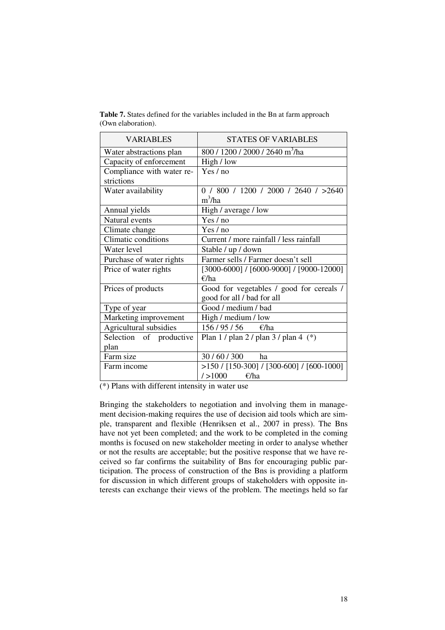| <b>VARIABLES</b>          | <b>STATES OF VARIABLES</b>                  |  |  |
|---------------------------|---------------------------------------------|--|--|
| Water abstractions plan   | 800 / 1200 / 2000 / 2640 m <sup>3</sup> /ha |  |  |
| Capacity of enforcement   | High / low                                  |  |  |
| Compliance with water re- | Yes / no                                    |  |  |
| strictions                |                                             |  |  |
| Water availability        | 0 / 800 / 1200 / 2000 / 2640 / >2640        |  |  |
|                           | $m^3/ha$                                    |  |  |
| Annual yields             | High / average / low                        |  |  |
| Natural events            | Yes / no                                    |  |  |
| Climate change            | Yes / no                                    |  |  |
| Climatic conditions       | Current / more rainfall / less rainfall     |  |  |
| Water level               | Stable / up / down                          |  |  |
| Purchase of water rights  | Farmer sells / Farmer doesn't sell          |  |  |
| Price of water rights     | $[3000-6000] / [6000-9000] / [9000-12000]$  |  |  |
|                           | €/ha                                        |  |  |
| Prices of products        | Good for vegetables / good for cereals /    |  |  |
|                           | good for all / bad for all                  |  |  |
| Type of year              | Good / medium / bad                         |  |  |
| Marketing improvement     | High / medium / low                         |  |  |
| Agricultural subsidies    | 156/95/56<br>$\epsilon$ /ha                 |  |  |
| Selection of productive   | Plan $1 / plan 2 / plan 3 / plan 4 (*)$     |  |  |
| plan                      |                                             |  |  |
| Farm size                 | 30/60/300<br>ha                             |  |  |
| Farm income               | $>150$ / [150-300] / [300-600] / [600-1000] |  |  |
|                           | $/$ >1000<br>€/ha                           |  |  |

**Table 7.** States defined for the variables included in the Bn at farm approach (Own elaboration).

(\*) Plans with different intensity in water use

Bringing the stakeholders to negotiation and involving them in management decision-making requires the use of decision aid tools which are simple, transparent and flexible (Henriksen et al., 2007 in press). The Bns have not yet been completed; and the work to be completed in the coming months is focused on new stakeholder meeting in order to analyse whether or not the results are acceptable; but the positive response that we have received so far confirms the suitability of Bns for encouraging public participation. The process of construction of the Bns is providing a platform for discussion in which different groups of stakeholders with opposite interests can exchange their views of the problem. The meetings held so far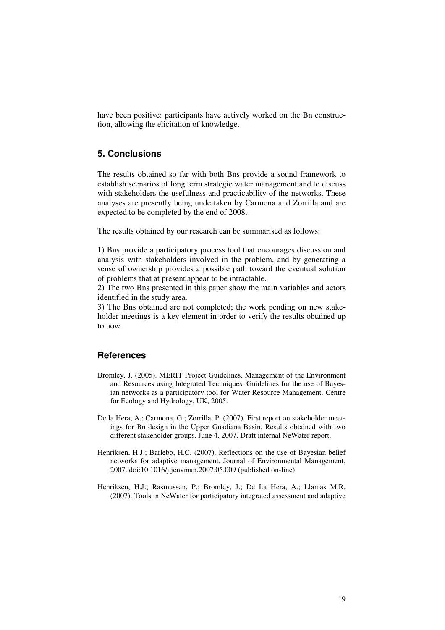have been positive: participants have actively worked on the Bn construction, allowing the elicitation of knowledge.

## **5. Conclusions**

The results obtained so far with both Bns provide a sound framework to establish scenarios of long term strategic water management and to discuss with stakeholders the usefulness and practicability of the networks. These analyses are presently being undertaken by Carmona and Zorrilla and are expected to be completed by the end of 2008.

The results obtained by our research can be summarised as follows:

1) Bns provide a participatory process tool that encourages discussion and analysis with stakeholders involved in the problem, and by generating a sense of ownership provides a possible path toward the eventual solution of problems that at present appear to be intractable.

2) The two Bns presented in this paper show the main variables and actors identified in the study area.

3) The Bns obtained are not completed; the work pending on new stakeholder meetings is a key element in order to verify the results obtained up to now.

### **References**

- Bromley, J. (2005). MERIT Project Guidelines. Management of the Environment and Resources using Integrated Techniques. Guidelines for the use of Bayesian networks as a participatory tool for Water Resource Management. Centre for Ecology and Hydrology, UK, 2005.
- De la Hera, A.; Carmona, G.; Zorrilla, P. (2007). First report on stakeholder meetings for Bn design in the Upper Guadiana Basin. Results obtained with two different stakeholder groups. June 4, 2007. Draft internal NeWater report.
- Henriksen, H.J.; Barlebo, H.C. (2007). Reflections on the use of Bayesian belief networks for adaptive management. Journal of Environmental Management, 2007. doi:10.1016/j.jenvman.2007.05.009 (published on-line)
- Henriksen, H.J.; Rasmussen, P.; Bromley, J.; De La Hera, A.; Llamas M.R. (2007). Tools in NeWater for participatory integrated assessment and adaptive